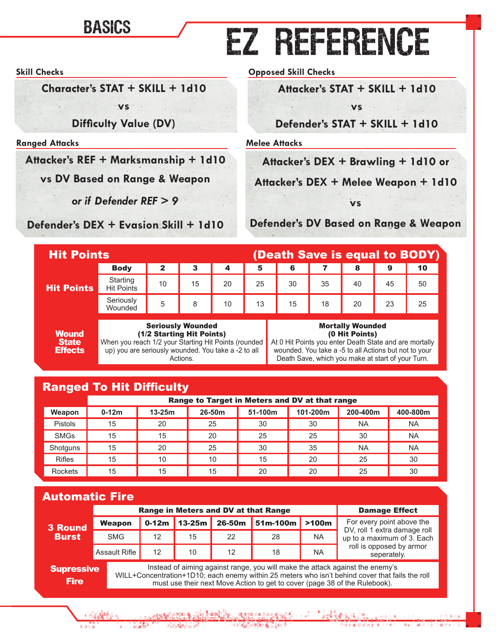## BASICS **EZ REFERENCE**

#### **Skill Checks**

**Character's STAT + SKILL + 1d10**

**vs**

**Difficulty Value (DV)**

#### **Ranged Attacks**

**Attacker's REF + Marksmanship + 1d10** 

**vs DV Based on Range & Weapon**

*or if Defender REF > 9*

**Defender's DEX + Evasion Skill + 1d10**

**Opposed Skill Checks**

**Attacker's STAT + SKILL + 1d10**

**vs**

**Defender's STAT + SKILL + 1d10**

**Melee Attacks**

**Attacker's DEX + Brawling + 1d10 or**

**Attacker's DEX + Melee Weapon + 1d10** 

**vs**

**Defender's DV Based on Range & Weapon**

|                   | (Death Save is equal to BODY)<br><b>Hit Points</b> |                           |    |    |                      |    |    |                                    |    |    |
|-------------------|----------------------------------------------------|---------------------------|----|----|----------------------|----|----|------------------------------------|----|----|
|                   | <b>Body</b>                                        |                           | 3  | 4  | 5                    | 6  |    | 8                                  | 9  | 10 |
| <b>Hit Points</b> | Starting<br><b>Hit Points</b>                      | 10                        | 15 | 20 | 25                   | 30 | 35 | 40                                 |    | 50 |
|                   | Seriously<br>Wounded                               | 5                         | 8  | 10 | $-13$ $\blacksquare$ | 15 | 18 | 20                                 | 23 | 25 |
|                   |                                                    | Oranization Microsoft and |    |    |                      |    |    | <b>BB</b> and all to MI accord and |    |    |

**Wound State Effects** 

Seriously Wounded (1/2 Starting Hit Points) When you reach 1/2 your Starting Hit Points (rounded up) you are seriously wounded. You take a -2 to all Actions.

#### Mortally Wounded (0 Hit Points)

At 0 Hit Points you enter Death State and are mortally wounded. You take a -5 to all Actions but not to your Death Save, which you make at start of your Turn.

 $2476634/$ 

## Ranged To Hit Difficulty

 $643^{3}$ 

|               | Range to Target in Meters and DV at that range |          |        |         |          |           |           |  |
|---------------|------------------------------------------------|----------|--------|---------|----------|-----------|-----------|--|
| Weapon        | $0-12m$                                        | $13-25m$ | 26-50m | 51-100m | 101-200m | 200-400m  | 400-800m  |  |
| Pistols       | 15                                             | 20       | 25     | 30      | 30       | NA        | <b>NA</b> |  |
| <b>SMGs</b>   | 15                                             | 15       | 20     | 25      | 25       | 30        | <b>NA</b> |  |
| Shotguns      | 15                                             | 20       | 25     | 30      | 35       | <b>NA</b> | <b>NA</b> |  |
| <b>Rifles</b> | 15                                             | 10       | 10     | 15      | 20       | 25        | 30        |  |
| Rockets       | 15                                             | 15       | 15     | 20      | 20       | 25        | 30        |  |

## Automatic Fire

|                                                                                                                            |                      | Range in Meters and DV at that Range | <b>Damage Effect</b> |        |                  |           |                                                            |
|----------------------------------------------------------------------------------------------------------------------------|----------------------|--------------------------------------|----------------------|--------|------------------|-----------|------------------------------------------------------------|
| <b>3 Round</b>                                                                                                             | Weapon               | $0-12m$                              | $13-25m$             | 26-50m | $51m-100m$ >100m |           | For every point above the                                  |
| <b>Burst</b>                                                                                                               | <b>SMG</b>           | 12                                   | 15                   | 22     | 28               | <b>NA</b> | DV, roll 1 extra damage roll<br>up to a maximum of 3. Each |
|                                                                                                                            | <b>Assault Rifle</b> | 12                                   | 10                   | 12     | 18               | <b>NA</b> | roll is opposed by armor<br>seperately.                    |
| Instead of aiming against range, you will make the attack against the enemy's<br><b>Supressive</b><br>$\cdots$<br>$\cdots$ |                      |                                      |                      |        |                  |           |                                                            |

359 7 85916 34

 $1833242676$ 

Fire

WILL+Concentration+1D10; each enemy within 25 meters who isn't behind cover that fails the roll must use their next Move Action to get to cover (page 38 of the Rulebook).

 $57.6756347634422644$ 

3 42 6 5 7 8 7 8 3 4 5 4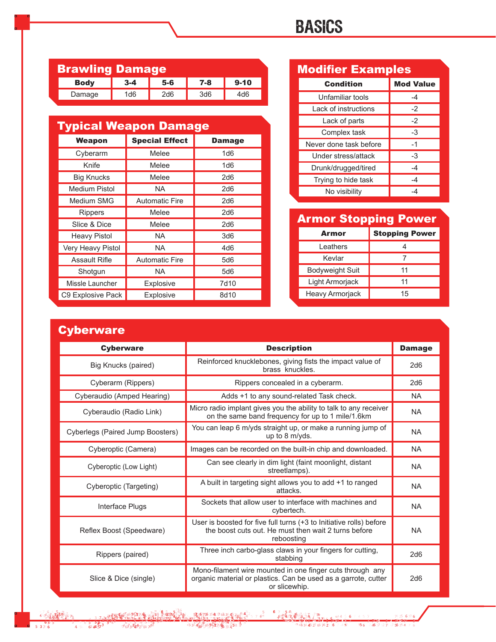## BASICS

| <b>Brawling Damage</b> |                 |       |         |          |  |  |  |
|------------------------|-----------------|-------|---------|----------|--|--|--|
| <b>Body</b>            | $3 - 4$         | $5-6$ | $7 - 8$ | $9 - 10$ |  |  |  |
| Damage                 | 1 <sub>d6</sub> | 2d6   | 3d6     | 4d6      |  |  |  |

| <b>Typical Weapon Damage</b> |                       |               |  |  |  |
|------------------------------|-----------------------|---------------|--|--|--|
| Weapon                       | <b>Special Effect</b> | <b>Damage</b> |  |  |  |
| Cyberarm                     | Melee                 | 1d6           |  |  |  |
| Knife                        | Melee                 | 1d6           |  |  |  |
| <b>Big Knucks</b>            | Melee                 | 2d6           |  |  |  |
| <b>Medium Pistol</b>         | <b>NA</b>             | 2d6           |  |  |  |
| Medium SMG                   | <b>Automatic Fire</b> | 2d6           |  |  |  |
| Rippers                      | Melee                 | 2d6           |  |  |  |
| Slice & Dice                 | Melee                 | 2d6           |  |  |  |
| <b>Heavy Pistol</b>          | <b>NA</b>             | 3d6           |  |  |  |
| Very Heavy Pistol            | <b>NA</b>             | 4d6           |  |  |  |
| <b>Assault Rifle</b>         | <b>Automatic Fire</b> | 5d6           |  |  |  |
| Shotgun                      | NA.                   | 5d6           |  |  |  |
| Missle Launcher              | <b>Explosive</b>      | 7d10          |  |  |  |
| C9 Explosive Pack            | Explosive             | 8d10          |  |  |  |

## Condition Mod Value Modifier Examples

| Unfamiliar tools       |      |
|------------------------|------|
| Lack of instructions   | $-2$ |
| Lack of parts          | $-2$ |
| Complex task           | -3   |
| Never done task before | $-1$ |
| Under stress/attack    | -3   |
| Drunk/drugged/tired    | $-4$ |
| Trying to hide task    | -4   |
| No visibility          |      |

## Armor Stopping Power

| Armor                  | <b>Stopping Power</b> |
|------------------------|-----------------------|
| I eathers              |                       |
| Kevlar                 |                       |
| <b>Bodyweight Suit</b> | 11                    |
| Light Armorjack        | 11                    |
| Heavy Armorjack        | 15                    |

 $5.6776$ 

#### **Cyberware**

| <b>Cyberware</b>                 | <b>Description</b>                                                                                                                           | <b>Damage</b> |
|----------------------------------|----------------------------------------------------------------------------------------------------------------------------------------------|---------------|
| Big Knucks (paired)              | Reinforced knucklebones, giving fists the impact value of<br>brass knuckles.                                                                 | 2d6           |
| Cyberarm (Rippers)               | Rippers concealed in a cyberarm.                                                                                                             | 2d6           |
| Cyberaudio (Amped Hearing)       | Adds +1 to any sound-related Task check.                                                                                                     | <b>NA</b>     |
| Cyberaudio (Radio Link)          | Micro radio implant gives you the ability to talk to any receiver<br>on the same band frequency for up to 1 mile/1.6km                       | NA.           |
| Cyberlegs (Paired Jump Boosters) | You can leap 6 m/yds straight up, or make a running jump of<br>up to $8 \text{ m/yds}$ .                                                     | NA.           |
| Cyberoptic (Camera)              | Images can be recorded on the built-in chip and downloaded.                                                                                  | <b>NA</b>     |
| Cyberoptic (Low Light)           | Can see clearly in dim light (faint moonlight, distant<br>streetlamps).                                                                      | NA.           |
| Cyberoptic (Targeting)           | A built in targeting sight allows you to add +1 to ranged<br>attacks.                                                                        | <b>NA</b>     |
| Interface Plugs                  | Sockets that allow user to interface with machines and<br>cybertech.                                                                         | NA.           |
| Reflex Boost (Speedware)         | User is boosted for five full turns (+3 to Initiative rolls) before<br>the boost cuts out. He must then wait 2 turns before<br>reboosting    | <b>NA</b>     |
| Rippers (paired)                 | Three inch carbo-glass claws in your fingers for cutting,<br>stabbing                                                                        | 2d6           |
| Slice & Dice (single)            | Mono-filament wire mounted in one finger cuts through any<br>organic material or plastics. Can be used as a garrote, cutter<br>or slicewhip. | 2d6           |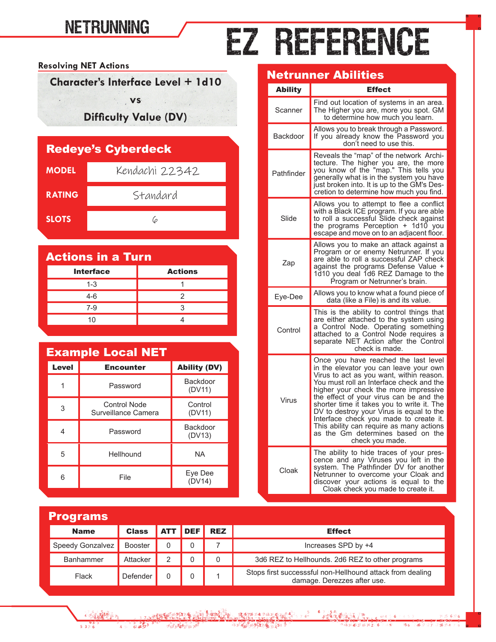## **NETRUNNING**

# EZ REFERENCE

**Resolving NET Actions**

**Character's Interface Level + 1d10**

**vs**

**Difficulty Value (DV)**

| <b>Redeye's Cyberdeck</b> |                |  |  |  |  |
|---------------------------|----------------|--|--|--|--|
| <b>MODEL</b>              | Kendachi 22342 |  |  |  |  |
| <b>RATING</b>             | Standard       |  |  |  |  |
| <b>SLOTS</b>              |                |  |  |  |  |

| <b>Actions in a Turn</b> |                |  |  |  |
|--------------------------|----------------|--|--|--|
| <b>Interface</b>         | <b>Actions</b> |  |  |  |
| $1 - 3$                  |                |  |  |  |
| $4-6$                    | 2              |  |  |  |
| $7-9$                    |                |  |  |  |
| 10                       |                |  |  |  |

| <b>Example Local NET</b> |                                            |                           |  |  |  |  |
|--------------------------|--------------------------------------------|---------------------------|--|--|--|--|
| <b>Level</b>             | <b>Encounter</b>                           | <b>Ability (DV)</b>       |  |  |  |  |
|                          | Password                                   | <b>Backdoor</b><br>(DV11) |  |  |  |  |
| 3                        | <b>Control Node</b><br>Surveillance Camera | Control<br>(DV11)         |  |  |  |  |
| 4                        | Password                                   | Backdoor<br>(DV13)        |  |  |  |  |
| 5                        | Hellhound                                  | <b>NA</b>                 |  |  |  |  |
| 6                        | File                                       | Eye Dee<br>(DV14)         |  |  |  |  |

1 1 5 23 45 5 7

 $5376$ 

### Netrunner Abilities

| Ability    | <b>Effect</b>                                                                                                                                                                                                                                                                                                                                                                                                                                                                                      |
|------------|----------------------------------------------------------------------------------------------------------------------------------------------------------------------------------------------------------------------------------------------------------------------------------------------------------------------------------------------------------------------------------------------------------------------------------------------------------------------------------------------------|
| Scanner    | Find out location of systems in an area.<br>The Higher you are, more you spot. GM<br>to determine how much you learn.                                                                                                                                                                                                                                                                                                                                                                              |
| Backdoor   | Allows you to break through a Password.<br>If you already know the Password you<br>don't need to use this.                                                                                                                                                                                                                                                                                                                                                                                         |
| Pathfinder | Reveals the "map" of the network Archi-<br>tecture. The higher you are, the more<br>you know of the "map." This tells you<br>generally what is in the system you have<br>just broken into. It is up to the GM's Des-<br>cretion to determine how much you find.                                                                                                                                                                                                                                    |
| Slide      | Allows you to attempt to flee a conflict<br>with a Black ICE program. If you are able<br>to roll a successful Slide check against<br>the programs Perception + 1d10 you<br>escape and move on to an adjacent floor.                                                                                                                                                                                                                                                                                |
| Zap        | Allows you to make an attack against a<br>Program or or enemy Netrunner. If you<br>are able to roll a successful ZAP check<br>against the programs Defense Value +<br>1d10 you deal 1d6 REZ Damage to the<br>Program or Netrunner's brain.                                                                                                                                                                                                                                                         |
| Eye-Dee    | Allows you to know what a found piece of<br>data (like a File) is and its value.                                                                                                                                                                                                                                                                                                                                                                                                                   |
| Control    | This is the ability to control things that<br>are either attached to the system using<br>a Control Node. Operating something<br>attached to a Control Node requires a<br>separate NET Action after the Control<br>check is made.                                                                                                                                                                                                                                                                   |
| Virus      | Once you have reached the last level<br>in the elevator you can leave your own<br>Virus to act as you want, within reason.<br>You must roll an Interface check and the<br>higher your check the more impressive<br>the effect of your virus can be and the<br>shorter time it takes you to write it. The<br>DV to destroy your Virus is equal to the<br>Interface check you made to create it.<br>This ability can require as many actions<br>as the Gm determines based on the<br>check you made. |
| Cloak      | The ability to hide traces of your pres-<br>cence and any Viruses you left in the<br>system. The Pathfinder DV for another<br>Netrunner to overcome your Cloak and<br>discover your actions is equal to the<br>Cloak check you made to create it.                                                                                                                                                                                                                                                  |

| <b>Programs</b>  |                |            |            |            |                                                                                          |  |  |  |  |  |  |  |
|------------------|----------------|------------|------------|------------|------------------------------------------------------------------------------------------|--|--|--|--|--|--|--|
| <b>Name</b>      | <b>Class</b>   | <b>ATT</b> | <b>DEF</b> | <b>REZ</b> | <b>Effect</b>                                                                            |  |  |  |  |  |  |  |
| Speedy Gonzalvez | <b>Booster</b> | 0          |            |            | Increases SPD by +4                                                                      |  |  |  |  |  |  |  |
| Banhammer        | Attacker       | 2          |            | 0          | 3d6 REZ to Hellhounds. 2d6 REZ to other programs                                         |  |  |  |  |  |  |  |
| Flack            | Defender       |            |            |            | Stops first successsful non-Hellhound attack from dealing<br>damage. Derezzes after use. |  |  |  |  |  |  |  |

 $45.524$ 33 422 65327 6 3 451 7 6344527667426  $18334206767$